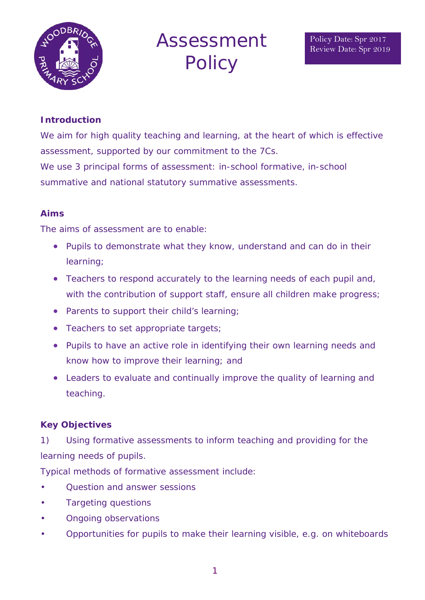

# Assessment **Policy**

## **Introduction**

We aim for high quality teaching and learning, at the heart of which is effective assessment, supported by our commitment to the 7Cs. We use 3 principal forms of assessment: in-school formative, in-school summative and national statutory summative assessments.

## **Aims**

The aims of assessment are to enable:

- Pupils to demonstrate what they know, understand and can do in their learning;
- Teachers to respond accurately to the learning needs of each pupil and, with the contribution of support staff, ensure all children make progress;
- Parents to support their child's learning;
- Teachers to set appropriate targets;
- Pupils to have an active role in identifying their own learning needs and know how to improve their learning; and
- Leaders to evaluate and continually improve the quality of learning and teaching.

## **Key Objectives**

1) Using formative assessments to inform teaching and providing for the learning needs of pupils.

Typical methods of formative assessment include:

- Question and answer sessions
- Targeting questions
- Ongoing observations
- Opportunities for pupils to make their learning visible, e.g. on whiteboards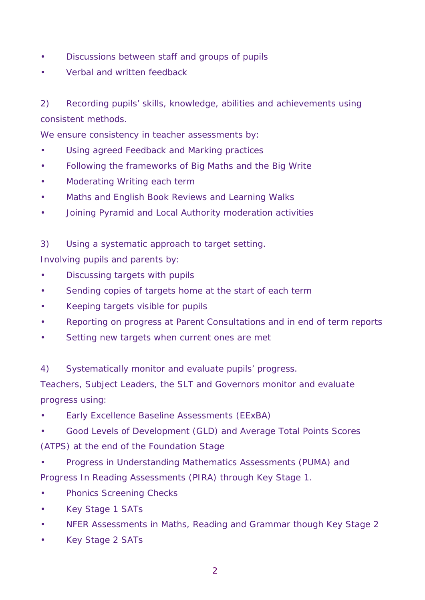- Discussions between staff and groups of pupils
- Verbal and written feedback

2) Recording pupils' skills, knowledge, abilities and achievements using consistent methods.

We ensure consistency in teacher assessments by:

- Using agreed Feedback and Marking practices
- Following the frameworks of Big Maths and the Big Write
- Moderating Writing each term
- Maths and English Book Reviews and Learning Walks
- Joining Pyramid and Local Authority moderation activities

3) Using a systematic approach to target setting. Involving pupils and parents by:

- Discussing targets with pupils
- Sending copies of targets home at the start of each term
- Keeping targets visible for pupils
- Reporting on progress at Parent Consultations and in end of term reports
- Setting new targets when current ones are met

4) Systematically monitor and evaluate pupils' progress.

Teachers, Subject Leaders, the SLT and Governors monitor and evaluate progress using:

- Early Excellence Baseline Assessments (EExBA)
- Good Levels of Development (GLD) and Average Total Points Scores (ATPS) at the end of the Foundation Stage
- Progress in Understanding Mathematics Assessments (PUMA) and Progress In Reading Assessments (PIRA) through Key Stage 1.
- Phonics Screening Checks
- Key Stage 1 SATs
- NFER Assessments in Maths, Reading and Grammar though Key Stage 2
- Key Stage 2 SATs